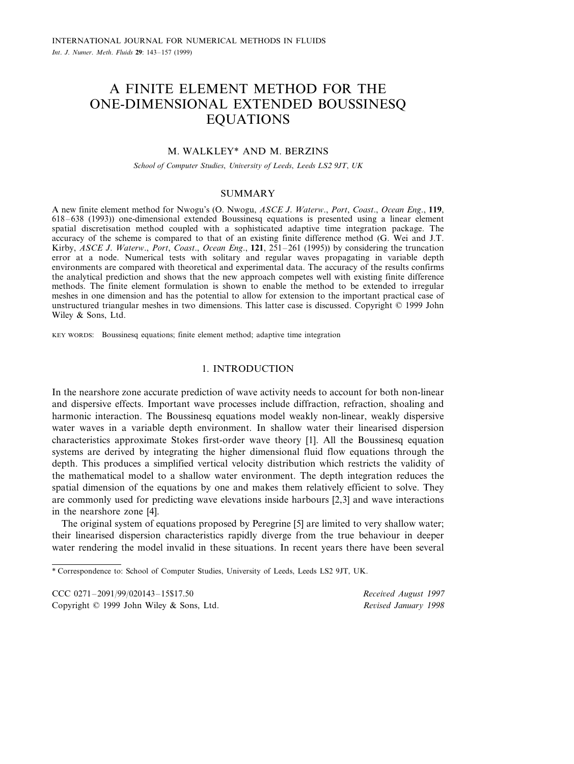# A FINITE ELEMENT METHOD FOR THE ONE-DIMENSIONAL EXTENDED BOUSSINESQ EQUATIONS

# M. WALKLEY\* AND M. BERZINS

*School of Computer Studies*, *Uni*6*ersity of Leeds*, *Leeds LS*<sup>2</sup> <sup>9</sup>*JT*, *UK*

# **SUMMARY**

A new finite element method for Nwogu's (O. Nwogu, *ASCE J*. *Waterw*., *Port*, *Coast*., *Ocean Eng*., **119**, 618–638 (1993)) one-dimensional extended Boussinesq equations is presented using a linear element spatial discretisation method coupled with a sophisticated adaptive time integration package. The accuracy of the scheme is compared to that of an existing finite difference method (G. Wei and J.T. Kirby, *ASCE J*. *Waterw*., *Port*, *Coast*., *Ocean Eng*., **121**, 251–261 (1995)) by considering the truncation error at a node. Numerical tests with solitary and regular waves propagating in variable depth environments are compared with theoretical and experimental data. The accuracy of the results confirms the analytical prediction and shows that the new approach competes well with existing finite difference methods. The finite element formulation is shown to enable the method to be extended to irregular meshes in one dimension and has the potential to allow for extension to the important practical case of unstructured triangular meshes in two dimensions. This latter case is discussed. Copyright © 1999 John Wiley & Sons, Ltd.

KEY WORDS: Boussinesq equations; finite element method; adaptive time integration

# 1. INTRODUCTION

In the nearshore zone accurate prediction of wave activity needs to account for both non-linear and dispersive effects. Important wave processes include diffraction, refraction, shoaling and harmonic interaction. The Boussinesq equations model weakly non-linear, weakly dispersive water waves in a variable depth environment. In shallow water their linearised dispersion characteristics approximate Stokes first-order wave theory [1]. All the Boussinesq equation systems are derived by integrating the higher dimensional fluid flow equations through the depth. This produces a simplified vertical velocity distribution which restricts the validity of the mathematical model to a shallow water environment. The depth integration reduces the spatial dimension of the equations by one and makes them relatively efficient to solve. They are commonly used for predicting wave elevations inside harbours [2,3] and wave interactions in the nearshore zone [4].

The original system of equations proposed by Peregrine [5] are limited to very shallow water; their linearised dispersion characteristics rapidly diverge from the true behaviour in deeper water rendering the model invalid in these situations. In recent years there have been several

*Recei*6*ed August* <sup>1997</sup> *Re*6*ised January* <sup>1998</sup>

<sup>\*</sup> Correspondence to: School of Computer Studies, University of Leeds, Leeds LS2 9JT, UK.

Copyright © 1999 John Wiley & Sons, Ltd.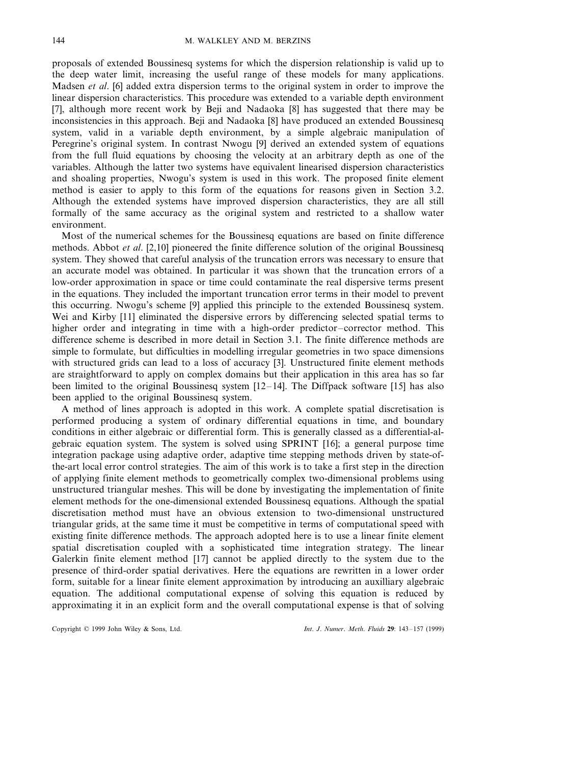proposals of extended Boussinesq systems for which the dispersion relationship is valid up to the deep water limit, increasing the useful range of these models for many applications. Madsen *et al*. [6] added extra dispersion terms to the original system in order to improve the linear dispersion characteristics. This procedure was extended to a variable depth environment [7], although more recent work by Beji and Nadaoka [8] has suggested that there may be inconsistencies in this approach. Beji and Nadaoka [8] have produced an extended Boussinesq system, valid in a variable depth environment, by a simple algebraic manipulation of Peregrine's original system. In contrast Nwogu [9] derived an extended system of equations from the full fluid equations by choosing the velocity at an arbitrary depth as one of the variables. Although the latter two systems have equivalent linearised dispersion characteristics and shoaling properties, Nwogu's system is used in this work. The proposed finite element method is easier to apply to this form of the equations for reasons given in Section 3.2. Although the extended systems have improved dispersion characteristics, they are all still formally of the same accuracy as the original system and restricted to a shallow water environment.

Most of the numerical schemes for the Boussinesq equations are based on finite difference methods. Abbot *et al*. [2,10] pioneered the finite difference solution of the original Boussinesq system. They showed that careful analysis of the truncation errors was necessary to ensure that an accurate model was obtained. In particular it was shown that the truncation errors of a low-order approximation in space or time could contaminate the real dispersive terms present in the equations. They included the important truncation error terms in their model to prevent this occurring. Nwogu's scheme [9] applied this principle to the extended Boussinesq system. Wei and Kirby [11] eliminated the dispersive errors by differencing selected spatial terms to higher order and integrating in time with a high-order predictor–corrector method. This difference scheme is described in more detail in Section 3.1. The finite difference methods are simple to formulate, but difficulties in modelling irregular geometries in two space dimensions with structured grids can lead to a loss of accuracy [3]. Unstructured finite element methods are straightforward to apply on complex domains but their application in this area has so far been limited to the original Boussinesq system  $[12-14]$ . The Diffpack software  $[15]$  has also been applied to the original Boussinesq system.

A method of lines approach is adopted in this work. A complete spatial discretisation is performed producing a system of ordinary differential equations in time, and boundary conditions in either algebraic or differential form. This is generally classed as a differential-algebraic equation system. The system is solved using SPRINT [16]; a general purpose time integration package using adaptive order, adaptive time stepping methods driven by state-ofthe-art local error control strategies. The aim of this work is to take a first step in the direction of applying finite element methods to geometrically complex two-dimensional problems using unstructured triangular meshes. This will be done by investigating the implementation of finite element methods for the one-dimensional extended Boussinesq equations. Although the spatial discretisation method must have an obvious extension to two-dimensional unstructured triangular grids, at the same time it must be competitive in terms of computational speed with existing finite difference methods. The approach adopted here is to use a linear finite element spatial discretisation coupled with a sophisticated time integration strategy. The linear Galerkin finite element method [17] cannot be applied directly to the system due to the presence of third-order spatial derivatives. Here the equations are rewritten in a lower order form, suitable for a linear finite element approximation by introducing an auxilliary algebraic equation. The additional computational expense of solving this equation is reduced by approximating it in an explicit form and the overall computational expense is that of solving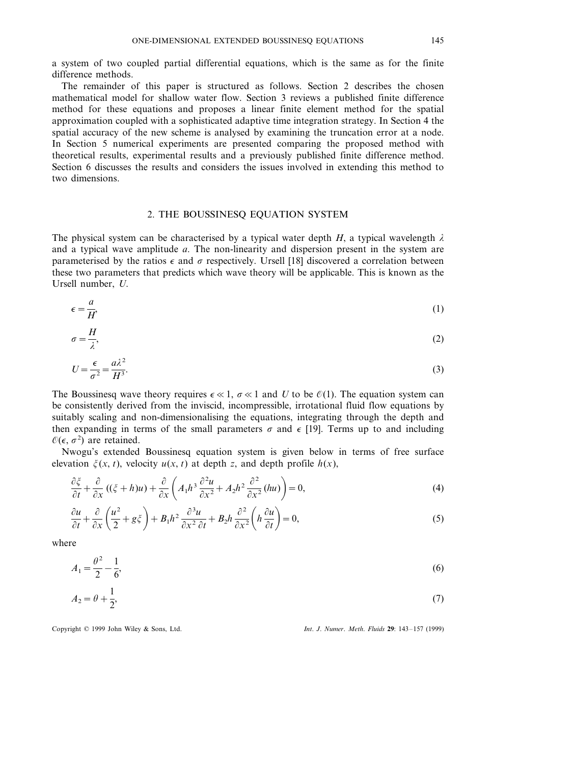a system of two coupled partial differential equations, which is the same as for the finite difference methods.

The remainder of this paper is structured as follows. Section 2 describes the chosen mathematical model for shallow water flow. Section 3 reviews a published finite difference method for these equations and proposes a linear finite element method for the spatial approximation coupled with a sophisticated adaptive time integration strategy. In Section 4 the spatial accuracy of the new scheme is analysed by examining the truncation error at a node. In Section 5 numerical experiments are presented comparing the proposed method with theoretical results, experimental results and a previously published finite difference method. Section 6 discusses the results and considers the issues involved in extending this method to two dimensions.

# 2. THE BOUSSINESQ EQUATION SYSTEM

The physical system can be characterised by a typical water depth *H*, a typical wavelength  $\lambda$ and a typical wave amplitude *a*. The non-linearity and dispersion present in the system are parameterised by the ratios  $\epsilon$  and  $\sigma$  respectively. Ursell [18] discovered a correlation between these two parameters that predicts which wave theory will be applicable. This is known as the Ursell number, *U*.

$$
\epsilon = \frac{a}{H'},\tag{1}
$$

$$
\sigma = \frac{H}{\lambda},\tag{2}
$$

$$
U = \frac{\epsilon}{\sigma^2} = \frac{a\lambda^2}{H^3}.
$$
\n(3)

The Boussinesq wave theory requires  $\epsilon \ll 1$ ,  $\sigma \ll 1$  and *U* to be  $\mathcal{O}(1)$ . The equation system can be consistently derived from the inviscid, incompressible, irrotational fluid flow equations by suitably scaling and non-dimensionalising the equations, integrating through the depth and then expanding in terms of the small parameters  $\sigma$  and  $\epsilon$  [19]. Terms up to and including  $\mathcal{O}(\epsilon, \sigma^2)$  are retained.

Nwogu's extended Boussinesq equation system is given below in terms of free surface elevation  $\xi(x, t)$ , velocity  $u(x, t)$  at depth *z*, and depth profile  $h(x)$ ,

$$
\frac{\partial \xi}{\partial t} + \frac{\partial}{\partial x} \left( (\xi + h)u \right) + \frac{\partial}{\partial x} \left( A_1 h^3 \frac{\partial^2 u}{\partial x^2} + A_2 h^2 \frac{\partial^2}{\partial x^2} (hu) \right) = 0, \tag{4}
$$

$$
\frac{\partial u}{\partial t} + \frac{\partial}{\partial x} \left( \frac{u^2}{2} + g \xi \right) + B_1 h^2 \frac{\partial^3 u}{\partial x^2 \partial t} + B_2 h \frac{\partial^2}{\partial x^2} \left( h \frac{\partial u}{\partial t} \right) = 0,
$$
\n(5)

where

$$
A_1 = \frac{\theta^2}{2} - \frac{1}{6},\tag{6}
$$

$$
A_2 = \theta + \frac{1}{2},\tag{7}
$$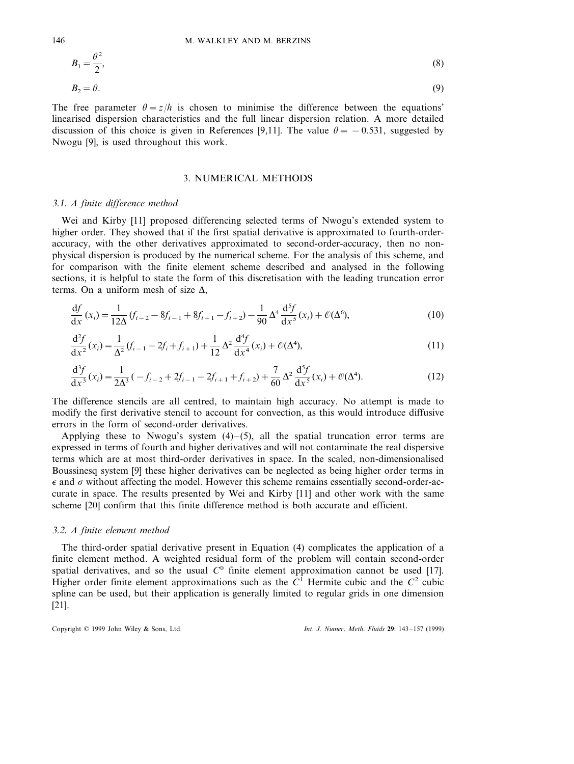$$
B_1 = \frac{\theta^2}{2},
$$
  
\n
$$
B_2 = \theta.
$$
  
\n(8)

The free parameter  $\theta = z/h$  is chosen to minimise the difference between the equations' linearised dispersion characteristics and the full linear dispersion relation. A more detailed discussion of this choice is given in References [9,11]. The value  $\theta = -0.531$ , suggested by Nwogu [9], is used throughout this work.

# 3. NUMERICAL METHODS

#### 3.1. *A finite difference method*

Wei and Kirby [11] proposed differencing selected terms of Nwogu's extended system to higher order. They showed that if the first spatial derivative is approximated to fourth-orderaccuracy, with the other derivatives approximated to second-order-accuracy, then no nonphysical dispersion is produced by the numerical scheme. For the analysis of this scheme, and for comparison with the finite element scheme described and analysed in the following sections, it is helpful to state the form of this discretisation with the leading truncation error terms. On a uniform mesh of size  $\Delta$ ,

$$
\frac{df}{dx}(x_i) = \frac{1}{12\Delta} (f_{i-2} - 8f_{i-1} + 8f_{i+1} - f_{i+2}) - \frac{1}{90} \Delta^4 \frac{d^5 f}{dx^5}(x_i) + \mathcal{O}(\Delta^6),\tag{10}
$$

$$
\frac{d^2 f}{dx^2}(x_i) = \frac{1}{\Delta^2} (f_{i-1} - 2f_i + f_{i+1}) + \frac{1}{12} \Delta^2 \frac{d^4 f}{dx^4}(x_i) + \mathcal{O}(\Delta^4),\tag{11}
$$

$$
\frac{d^3 f}{dx^3}(x_i) = \frac{1}{2\Delta^3} \left( -f_{i-2} + 2f_{i-1} - 2f_{i+1} + f_{i+2} \right) + \frac{7}{60} \Delta^2 \frac{d^5 f}{dx^5}(x_i) + \mathcal{O}(\Delta^4). \tag{12}
$$

The difference stencils are all centred, to maintain high accuracy. No attempt is made to modify the first derivative stencil to account for convection, as this would introduce diffusive errors in the form of second-order derivatives.

Applying these to Nwogu's system  $(4)$ – $(5)$ , all the spatial truncation error terms are expressed in terms of fourth and higher derivatives and will not contaminate the real dispersive terms which are at most third-order derivatives in space. In the scaled, non-dimensionalised Boussinesq system [9] these higher derivatives can be neglected as being higher order terms in  $\epsilon$  and  $\sigma$  without affecting the model. However this scheme remains essentially second-order-accurate in space. The results presented by Wei and Kirby [11] and other work with the same scheme [20] confirm that this finite difference method is both accurate and efficient.

# 3.2. *A finite element method*

The third-order spatial derivative present in Equation (4) complicates the application of a finite element method. A weighted residual form of the problem will contain second-order spatial derivatives, and so the usual  $C<sup>0</sup>$  finite element approximation cannot be used [17]. Higher order finite element approximations such as the  $C<sup>1</sup>$  Hermite cubic and the  $C<sup>2</sup>$  cubic spline can be used, but their application is generally limited to regular grids in one dimension [21].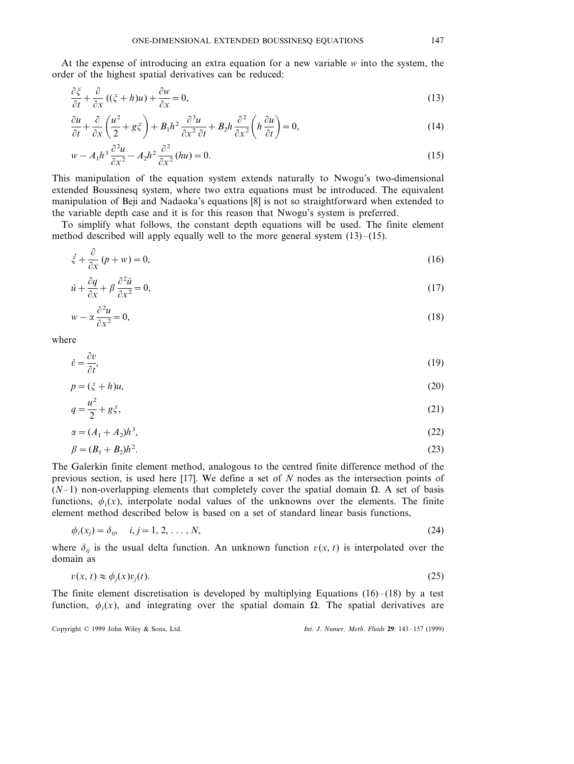At the expense of introducing an extra equation for a new variable *w* into the system, the order of the highest spatial derivatives can be reduced:

$$
\frac{\partial \xi}{\partial t} + \frac{\partial}{\partial x} \left( (\xi + h)u \right) + \frac{\partial w}{\partial x} = 0,
$$
\n(13)

$$
\frac{\partial u}{\partial t} + \frac{\partial}{\partial x} \left( \frac{u^2}{2} + g\zeta \right) + B_1 h^2 \frac{\partial^3 u}{\partial x^2 \partial t} + B_2 h \frac{\partial^2}{\partial x^2} \left( h \frac{\partial u}{\partial t} \right) = 0,
$$
\n(14)

$$
w - A_1 h^3 \frac{\partial^2 u}{\partial x^2} - A_2 h^2 \frac{\partial^2}{\partial x^2} (hu) = 0.
$$
 (15)

This manipulation of the equation system extends naturally to Nwogu's two-dimensional extended Boussinesq system, where two extra equations must be introduced. The equivalent manipulation of Beji and Nadaoka's equations [8] is not so straightforward when extended to the variable depth case and it is for this reason that Nwogu's system is preferred.

To simplify what follows, the constant depth equations will be used. The finite element method described will apply equally well to the more general system  $(13)$ – $(15)$ .

$$
\dot{\xi} + \frac{\partial}{\partial x} \left( p + w \right) = 0,\tag{16}
$$

$$
\dot{u} + \frac{\partial q}{\partial x} + \beta \frac{\partial^2 \dot{u}}{\partial x^2} = 0,\tag{17}
$$

$$
w - \alpha \frac{\partial^2 u}{\partial x^2} = 0,\tag{18}
$$

where

$$
\dot{v} = \frac{\partial v}{\partial t},\tag{19}
$$

$$
p = (\xi + h)u,\tag{20}
$$

$$
q = \frac{u^2}{2} + g\xi,\tag{21}
$$

$$
\alpha = (A_1 + A_2)h^3,\tag{22}
$$

$$
\beta = (B_1 + B_2)h^2. \tag{23}
$$

The Galerkin finite element method, analogous to the centred finite difference method of the previous section, is used here [17]. We define a set of *N* nodes as the intersection points of  $(N-1)$  non-overlapping elements that completely cover the spatial domain  $\Omega$ . A set of basis functions,  $\phi_i(x)$ , interpolate nodal values of the unknowns over the elements. The finite element method described below is based on a set of standard linear basis functions,

$$
\phi_i(x_j) = \delta_{ij}, \quad i, j = 1, 2, \dots, N,
$$
\n(24)

where  $\delta_{ij}$  is the usual delta function. An unknown function  $v(x, t)$  is interpolated over the domain as

$$
v(x, t) \approx \phi_j(x)v_j(t). \tag{25}
$$

The finite element discretisation is developed by multiplying Equations  $(16)$ – $(18)$  by a test function,  $\phi_i(x)$ , and integrating over the spatial domain  $\Omega$ . The spatial derivatives are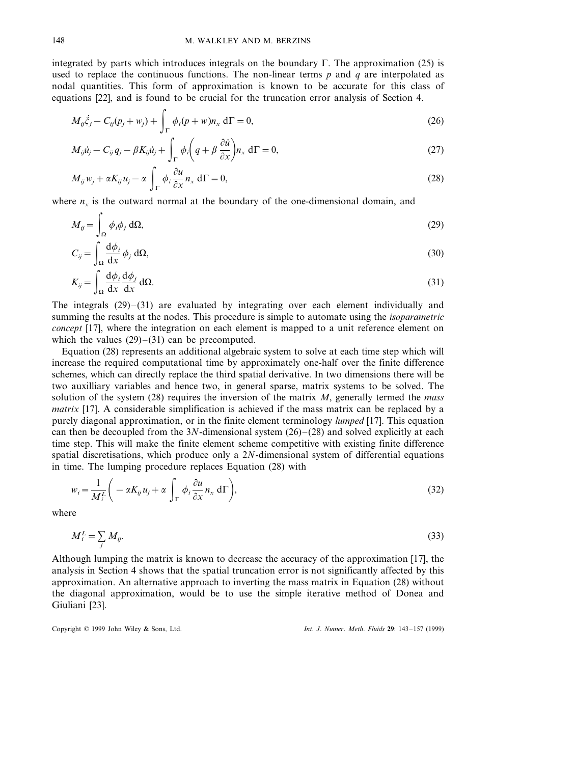integrated by parts which introduces integrals on the boundary  $\Gamma$ . The approximation (25) is used to replace the continuous functions. The non-linear terms *p* and *q* are interpolated as nodal quantities. This form of approximation is known to be accurate for this class of equations [22], and is found to be crucial for the truncation error analysis of Section 4.

$$
M_{ij}\ddot{\zeta}_j - C_{ij}(p_j + w_j) + \int_{\Gamma} \phi_i(p+w)n_x d\Gamma = 0,
$$
\n(26)

$$
M_{ij}\dot{u}_j - C_{ij}q_j - \beta K_{ij}\dot{u}_j + \int_{\Gamma} \phi_i \left(q + \beta \frac{\partial \dot{u}}{\partial x}\right) n_x d\Gamma = 0, \qquad (27)
$$

$$
M_{ij}w_j + \alpha K_{ij}u_j - \alpha \int_{\Gamma} \phi_i \frac{\partial u}{\partial x} n_x d\Gamma = 0,
$$
\n(28)

where  $n_x$  is the outward normal at the boundary of the one-dimensional domain, and

$$
M_{ij} = \int_{\Omega} \phi_i \phi_j \, d\Omega, \tag{29}
$$

$$
C_{ij} = \int_{\Omega} \frac{\mathrm{d}\phi_i}{\mathrm{d}x} \phi_j \,\mathrm{d}\Omega,\tag{30}
$$

$$
K_{ij} = \int_{\Omega} \frac{\mathrm{d}\phi_i}{\mathrm{d}x} \frac{\mathrm{d}\phi_j}{\mathrm{d}x} \,\mathrm{d}\Omega. \tag{31}
$$

The integrals  $(29)$ – $(31)$  are evaluated by integrating over each element individually and summing the results at the nodes. This procedure is simple to automate using the *isoparametric concept* [17], where the integration on each element is mapped to a unit reference element on which the values  $(29)$ – $(31)$  can be precomputed.

Equation (28) represents an additional algebraic system to solve at each time step which will increase the required computational time by approximately one-half over the finite difference schemes, which can directly replace the third spatial derivative. In two dimensions there will be two auxilliary variables and hence two, in general sparse, matrix systems to be solved. The solution of the system (28) requires the inversion of the matrix *M*, generally termed the *mass matrix* [17]. A considerable simplification is achieved if the mass matrix can be replaced by a purely diagonal approximation, or in the finite element terminology *lumped* [17]. This equation can then be decoupled from the 3*N*-dimensional system (26)–(28) and solved explicitly at each time step. This will make the finite element scheme competitive with existing finite difference spatial discretisations, which produce only a 2*N*-dimensional system of differential equations in time. The lumping procedure replaces Equation (28) with

$$
w_i = \frac{1}{M_i^L} \left( -\alpha K_{ij} u_j + \alpha \int_{\Gamma} \phi_i \frac{\partial u}{\partial x} n_x d\Gamma \right),
$$
\n(32)

where

$$
M_i^L = \sum_j M_{ij}.\tag{33}
$$

Although lumping the matrix is known to decrease the accuracy of the approximation [17], the analysis in Section 4 shows that the spatial truncation error is not significantly affected by this approximation. An alternative approach to inverting the mass matrix in Equation (28) without the diagonal approximation, would be to use the simple iterative method of Donea and Giuliani [23].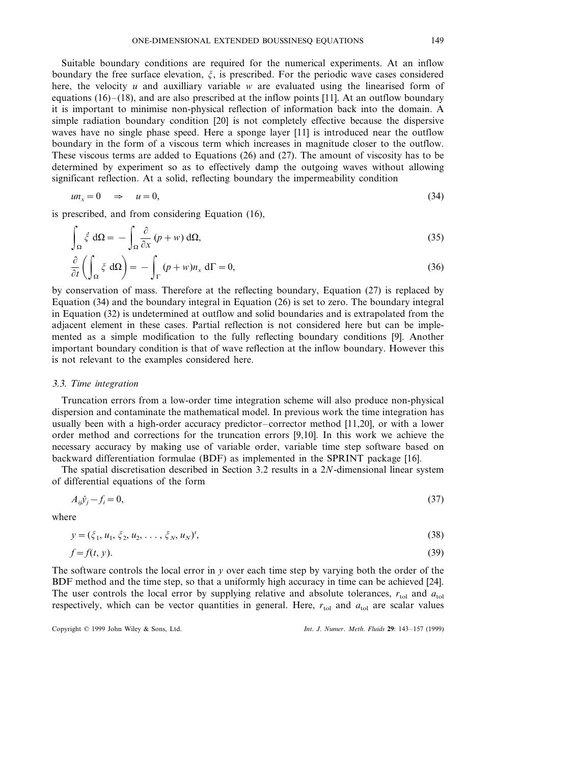Suitable boundary conditions are required for the numerical experiments. At an inflow boundary the free surface elevation,  $\xi$ , is prescribed. For the periodic wave cases considered here, the velocity *u* and auxilliary variable *w* are evaluated using the linearised form of equations (16)–(18), and are also prescribed at the inflow points [11]. At an outflow boundary it is important to minimise non-physical reflection of information back into the domain. A simple radiation boundary condition [20] is not completely effective because the dispersive waves have no single phase speed. Here a sponge layer [11] is introduced near the outflow boundary in the form of a viscous term which increases in magnitude closer to the outflow. These viscous terms are added to Equations (26) and (27). The amount of viscosity has to be determined by experiment so as to effectively damp the outgoing waves without allowing significant reflection. At a solid, reflecting boundary the impermeability condition

$$
u n_x = 0 \quad \Rightarrow \quad u = 0,\tag{34}
$$

is prescribed, and from considering Equation (16),

$$
\int_{\Omega} \dot{\zeta} \, d\Omega = -\int_{\Omega} \frac{\partial}{\partial x} \left( p + w \right) d\Omega, \tag{35}
$$

$$
\frac{\partial}{\partial t} \left( \int_{\Omega} \zeta \, d\Omega \right) = - \int_{\Gamma} (p + w) n_x \, d\Gamma = 0,
$$
\n(36)

by conservation of mass. Therefore at the reflecting boundary, Equation (27) is replaced by Equation (34) and the boundary integral in Equation (26) is set to zero. The boundary integral in Equation (32) is undetermined at outflow and solid boundaries and is extrapolated from the adjacent element in these cases. Partial reflection is not considered here but can be implemented as a simple modification to the fully reflecting boundary conditions [9]. Another important boundary condition is that of wave reflection at the inflow boundary. However this is not relevant to the examples considered here.

#### 3.3. *Time integration*

Truncation errors from a low-order time integration scheme will also produce non-physical dispersion and contaminate the mathematical model. In previous work the time integration has usually been with a high-order accuracy predictor–corrector method [11,20], or with a lower order method and corrections for the truncation errors [9,10]. In this work we achieve the necessary accuracy by making use of variable order, variable time step software based on backward differentiation formulae (BDF) as implemented in the SPRINT package [16].

The spatial discretisation described in Section 3.2 results in a 2*N*-dimensional linear system of differential equations of the form

$$
A_{ij}\dot{y}_j - f_i = 0,\tag{37}
$$

where

$$
y = (\xi_1, u_1, \xi_2, u_2, \dots, \xi_N, u_N)^t,
$$
\n(38)

$$
f = f(t, y). \tag{39}
$$

The software controls the local error in *y* over each time step by varying both the order of the BDF method and the time step, so that a uniformly high accuracy in time can be achieved [24]. The user controls the local error by supplying relative and absolute tolerances,  $r_{\text{tol}}$  and  $a_{\text{tol}}$ respectively, which can be vector quantities in general. Here,  $r_{\text{tol}}$  and  $a_{\text{tol}}$  are scalar values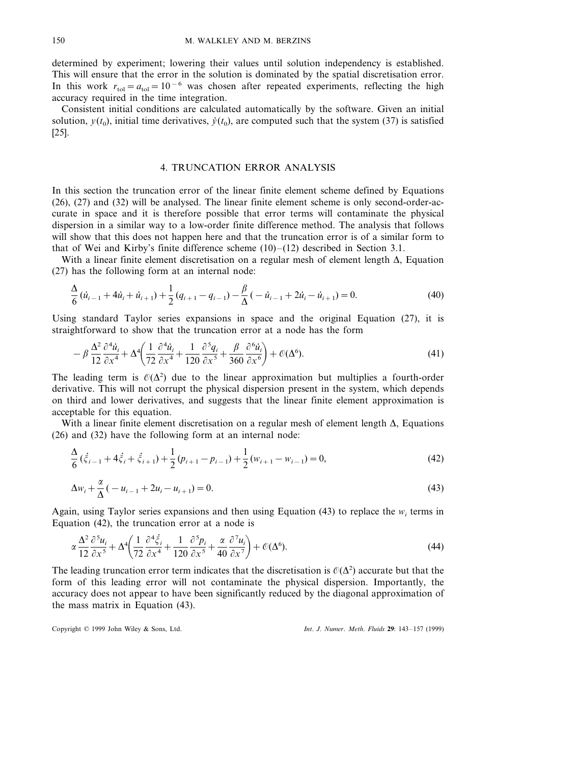determined by experiment; lowering their values until solution independency is established. This will ensure that the error in the solution is dominated by the spatial discretisation error. In this work  $r_{\text{tol}}=a_{\text{tol}}=10^{-6}$  was chosen after repeated experiments, reflecting the high accuracy required in the time integration.

Consistent initial conditions are calculated automatically by the software. Given an initial solution,  $y(t_0)$ , initial time derivatives,  $\dot{y}(t_0)$ , are computed such that the system (37) is satisfied [25].

# 4. TRUNCATION ERROR ANALYSIS

In this section the truncation error of the linear finite element scheme defined by Equations (26), (27) and (32) will be analysed. The linear finite element scheme is only second-order-accurate in space and it is therefore possible that error terms will contaminate the physical dispersion in a similar way to a low-order finite difference method. The analysis that follows will show that this does not happen here and that the truncation error is of a similar form to that of Wei and Kirby's finite difference scheme  $(10)$ – $(12)$  described in Section 3.1.

With a linear finite element discretisation on a regular mesh of element length  $\Delta$ , Equation (27) has the following form at an internal node:

$$
\frac{\Delta}{6}(\dot{u}_{i-1} + 4\dot{u}_i + \dot{u}_{i+1}) + \frac{1}{2}(q_{i+1} - q_{i-1}) - \frac{\beta}{\Delta}(-\dot{u}_{i-1} + 2\dot{u}_i - \dot{u}_{i+1}) = 0.
$$
\n(40)

Using standard Taylor series expansions in space and the original Equation (27), it is straightforward to show that the truncation error at a node has the form

$$
-\beta \frac{\Delta^2}{12} \frac{\partial^4 \dot{u}_i}{\partial x^4} + \Delta^4 \left(\frac{1}{72} \frac{\partial^4 \dot{u}_i}{\partial x^4} + \frac{1}{120} \frac{\partial^5 q_i}{\partial x^5} + \frac{\beta}{360} \frac{\partial^6 \dot{u}_i}{\partial x^6}\right) + \mathcal{O}(\Delta^6). \tag{41}
$$

The leading term is  $\mathcal{O}(\Delta^2)$  due to the linear approximation but multiplies a fourth-order derivative. This will not corrupt the physical dispersion present in the system, which depends on third and lower derivatives, and suggests that the linear finite element approximation is acceptable for this equation.

With a linear finite element discretisation on a regular mesh of element length  $\Delta$ , Equations (26) and (32) have the following form at an internal node:

$$
\frac{\Delta}{6}(\dot{\xi}_{i-1} + 4\dot{\xi}_{i} + \dot{\xi}_{i+1}) + \frac{1}{2}(p_{i+1} - p_{i-1}) + \frac{1}{2}(w_{i+1} - w_{i-1}) = 0,
$$
\n(42)

$$
\Delta w_i + \frac{\alpha}{\Delta}(-u_{i-1} + 2u_i - u_{i+1}) = 0.
$$
\n(43)

Again, using Taylor series expansions and then using Equation  $(43)$  to replace the  $w_i$  terms in Equation (42), the truncation error at a node is

$$
\alpha \frac{\Delta^2}{12} \frac{\partial^5 u_i}{\partial x^5} + \Delta^4 \left( \frac{1}{72} \frac{\partial^4 \xi_i}{\partial x^4} + \frac{1}{120} \frac{\partial^5 p_i}{\partial x^5} + \frac{\alpha}{40} \frac{\partial^7 u_i}{\partial x^7} \right) + \mathcal{O}(\Delta^6). \tag{44}
$$

The leading truncation error term indicates that the discretisation is  $O(\Delta^2)$  accurate but that the form of this leading error will not contaminate the physical dispersion. Importantly, the accuracy does not appear to have been significantly reduced by the diagonal approximation of the mass matrix in Equation (43).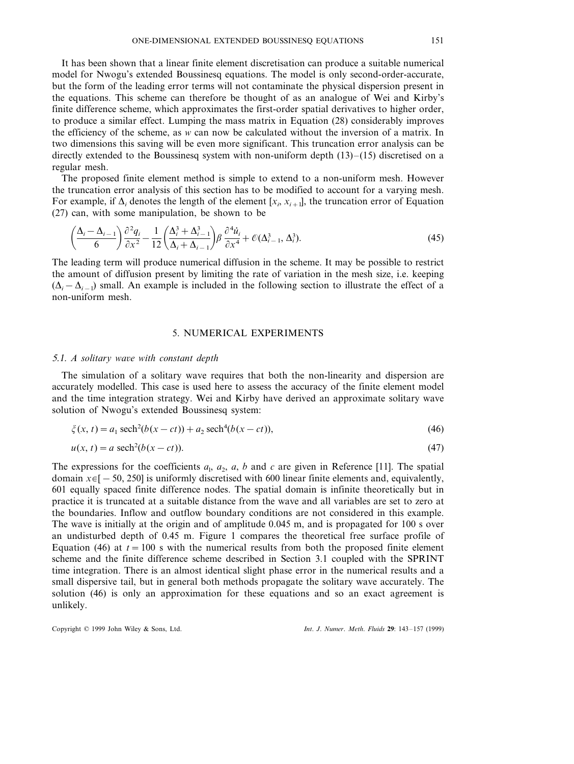It has been shown that a linear finite element discretisation can produce a suitable numerical model for Nwogu's extended Boussinesq equations. The model is only second-order-accurate, but the form of the leading error terms will not contaminate the physical dispersion present in the equations. This scheme can therefore be thought of as an analogue of Wei and Kirby's finite difference scheme, which approximates the first-order spatial derivatives to higher order, to produce a similar effect. Lumping the mass matrix in Equation (28) considerably improves the efficiency of the scheme, as *w* can now be calculated without the inversion of a matrix. In two dimensions this saving will be even more significant. This truncation error analysis can be directly extended to the Boussinesq system with non-uniform depth  $(13)$ – $(15)$  discretised on a regular mesh.

The proposed finite element method is simple to extend to a non-uniform mesh. However the truncation error analysis of this section has to be modified to account for a varying mesh. For example, if  $\Delta_i$  denotes the length of the element  $[x_i, x_{i+1}]$ , the truncation error of Equation (27) can, with some manipulation, be shown to be

$$
\left(\frac{\Delta_i-\Delta_{i-1}}{6}\right)\frac{\partial^2 q_i}{\partial x^2}-\frac{1}{12}\left(\frac{\Delta_i^3+\Delta_{i-1}^3}{\Delta_i+\Delta_{i-1}}\right)\beta\frac{\partial^4 \dot{u}_i}{\partial x^4}+\mathcal{O}(\Delta_{i-1}^3,\Delta_i^3). \tag{45}
$$

The leading term will produce numerical diffusion in the scheme. It may be possible to restrict the amount of diffusion present by limiting the rate of variation in the mesh size, i.e. keeping  $(\Delta_i - \Delta_{i-1})$  small. An example is included in the following section to illustrate the effect of a non-uniform mesh.

# 5. NUMERICAL EXPERIMENTS

### 5.1. A solitary wave with constant depth

The simulation of a solitary wave requires that both the non-linearity and dispersion are accurately modelled. This case is used here to assess the accuracy of the finite element model and the time integration strategy. Wei and Kirby have derived an approximate solitary wave solution of Nwogu's extended Boussinesq system:

$$
\zeta(x, t) = a_1 \operatorname{sech}^2(b(x - ct)) + a_2 \operatorname{sech}^4(b(x - ct)),
$$
\n(46)

$$
u(x, t) = a \operatorname{sech}^2(b(x - ct)).
$$
\n<sup>(47)</sup>

The expressions for the coefficients  $a_1$ ,  $a_2$ ,  $a$ ,  $b$  and  $c$  are given in Reference [11]. The spatial domain  $x \in [-50, 250]$  is uniformly discretised with 600 linear finite elements and, equivalently, 601 equally spaced finite difference nodes. The spatial domain is infinite theoretically but in practice it is truncated at a suitable distance from the wave and all variables are set to zero at the boundaries. Inflow and outflow boundary conditions are not considered in this example. The wave is initially at the origin and of amplitude 0.045 m, and is propagated for 100 s over an undisturbed depth of 0.45 m. Figure 1 compares the theoretical free surface profile of Equation (46) at  $t = 100$  s with the numerical results from both the proposed finite element scheme and the finite difference scheme described in Section 3.1 coupled with the SPRINT time integration. There is an almost identical slight phase error in the numerical results and a small dispersive tail, but in general both methods propagate the solitary wave accurately. The solution (46) is only an approximation for these equations and so an exact agreement is unlikely.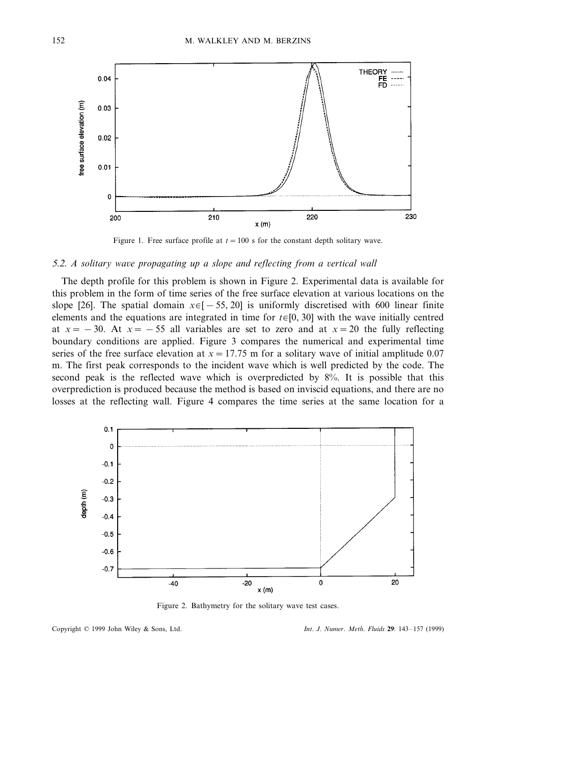

Figure 1. Free surface profile at  $t = 100$  s for the constant depth solitary wave.

### 5.2. *A solitary wave propagating up a slope and reflecting from a vertical wall*

The depth profile for this problem is shown in Figure 2. Experimental data is available for this problem in the form of time series of the free surface elevation at various locations on the slope [26]. The spatial domain  $x \in [-55, 20]$  is uniformly discretised with 600 linear finite elements and the equations are integrated in time for  $t \in [0, 30]$  with the wave initially centred at  $x = -30$ . At  $x = -55$  all variables are set to zero and at  $x = 20$  the fully reflecting boundary conditions are applied. Figure 3 compares the numerical and experimental time series of the free surface elevation at  $x = 17.75$  m for a solitary wave of initial amplitude 0.07 m. The first peak corresponds to the incident wave which is well predicted by the code. The second peak is the reflected wave which is overpredicted by 8%. It is possible that this overprediction is produced because the method is based on inviscid equations, and there are no losses at the reflecting wall. Figure 4 compares the time series at the same location for a



Figure 2. Bathymetry for the solitary wave test cases.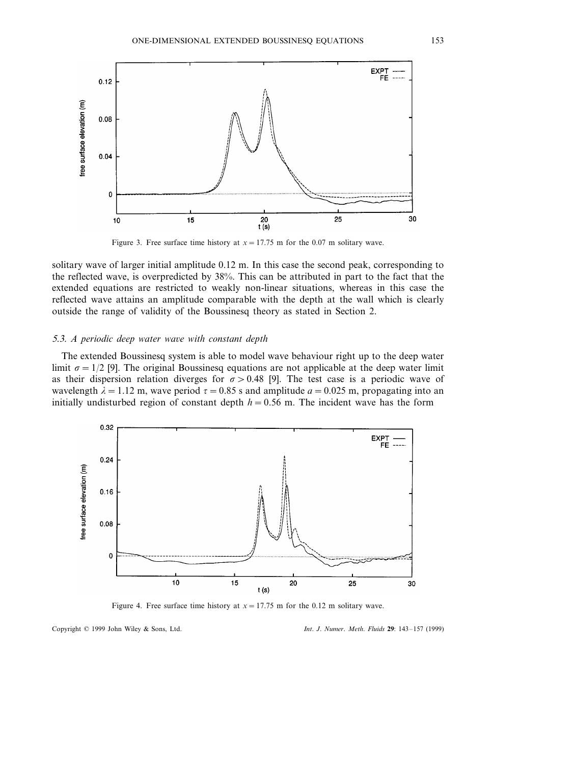

Figure 3. Free surface time history at  $x = 17.75$  m for the 0.07 m solitary wave.

solitary wave of larger initial amplitude 0.12 m. In this case the second peak, corresponding to the reflected wave, is overpredicted by 38%. This can be attributed in part to the fact that the extended equations are restricted to weakly non-linear situations, whereas in this case the reflected wave attains an amplitude comparable with the depth at the wall which is clearly outside the range of validity of the Boussinesq theory as stated in Section 2.

### 5.3. A periodic deep water wave with constant depth

The extended Boussinesq system is able to model wave behaviour right up to the deep water limit  $\sigma = 1/2$  [9]. The original Boussinesq equations are not applicable at the deep water limit as their dispersion relation diverges for  $\sigma > 0.48$  [9]. The test case is a periodic wave of wavelength  $\lambda = 1.12$  m, wave period  $\tau = 0.85$  s and amplitude  $a = 0.025$  m, propagating into an initially undisturbed region of constant depth  $h=0.56$  m. The incident wave has the form



Figure 4. Free surface time history at  $x = 17.75$  m for the 0.12 m solitary wave.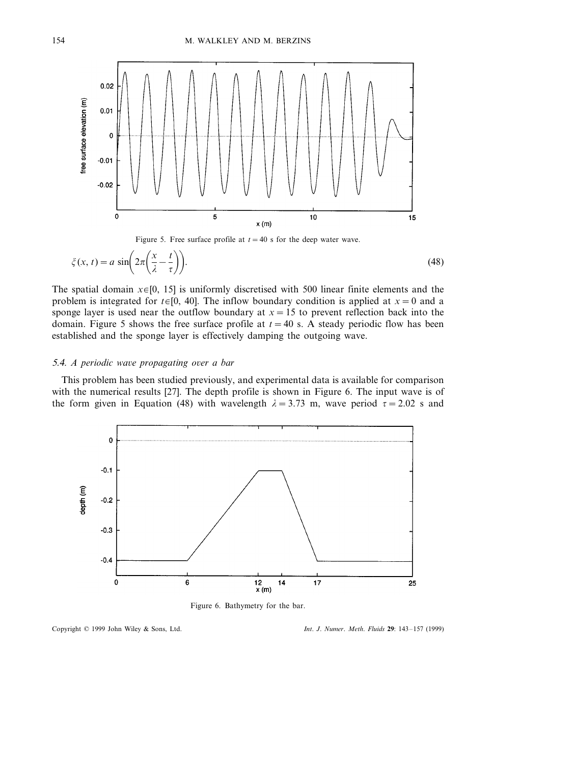

Figure 5. Free surface profile at  $t = 40$  s for the deep water wave.

$$
\zeta(x,t) = a \sin\left(2\pi\left(\frac{x}{\lambda} - \frac{t}{\tau}\right)\right).
$$
\n(48)

The spatial domain  $x \in [0, 15]$  is uniformly discretised with 500 linear finite elements and the problem is integrated for  $t \in [0, 40]$ . The inflow boundary condition is applied at  $x = 0$  and a sponge layer is used near the outflow boundary at  $x = 15$  to prevent reflection back into the domain. Figure 5 shows the free surface profile at  $t=40$  s. A steady periodic flow has been established and the sponge layer is effectively damping the outgoing wave.

#### 5.4. *A periodic wave propagating over a bar*

This problem has been studied previously, and experimental data is available for comparison with the numerical results [27]. The depth profile is shown in Figure 6. The input wave is of the form given in Equation (48) with wavelength  $\lambda = 3.73$  m, wave period  $\tau = 2.02$  s and



Figure 6. Bathymetry for the bar.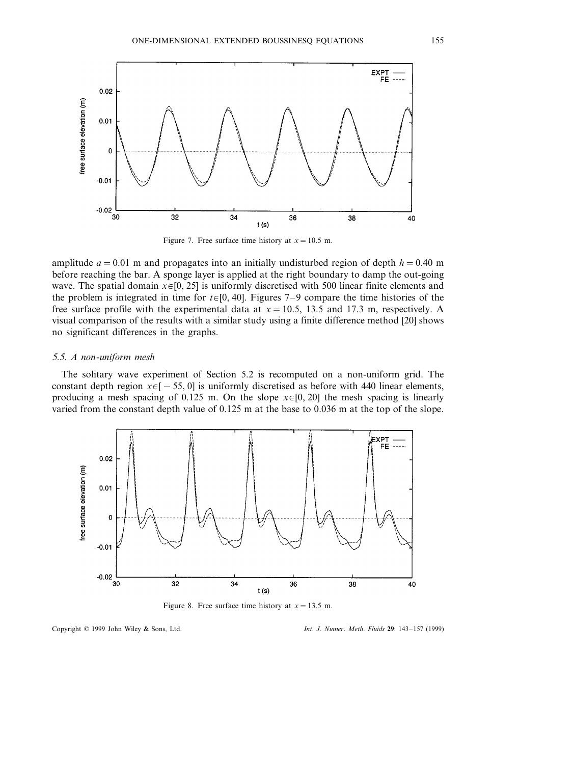

Figure 7. Free surface time history at  $x = 10.5$  m.

amplitude  $a = 0.01$  m and propagates into an initially undisturbed region of depth  $h = 0.40$  m before reaching the bar. A sponge layer is applied at the right boundary to damp the out-going wave. The spatial domain  $x \in [0, 25]$  is uniformly discretised with 500 linear finite elements and the problem is integrated in time for  $t \in [0, 40]$ . Figures 7–9 compare the time histories of the free surface profile with the experimental data at *x*=10.5, 13.5 and 17.3 m, respectively. A visual comparison of the results with a similar study using a finite difference method [20] shows no significant differences in the graphs.

# 5.5. *A non*-*uniform mesh*

The solitary wave experiment of Section 5.2 is recomputed on a non-uniform grid. The constant depth region  $x \in [-55, 0]$  is uniformly discretised as before with 440 linear elements, producing a mesh spacing of 0.125 m. On the slope  $x \in [0, 20]$  the mesh spacing is linearly varied from the constant depth value of 0.125 m at the base to 0.036 m at the top of the slope.



Figure 8. Free surface time history at  $x = 13.5$  m.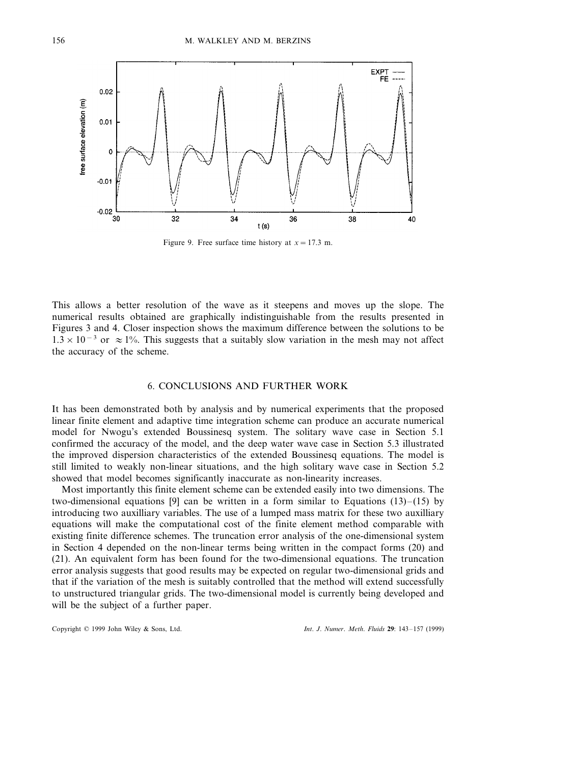

Figure 9. Free surface time history at  $x = 17.3$  m.

This allows a better resolution of the wave as it steepens and moves up the slope. The numerical results obtained are graphically indistinguishable from the results presented in Figures 3 and 4. Closer inspection shows the maximum difference between the solutions to be 1.3 × 10<sup>-3</sup> or  $\approx$  1%. This suggests that a suitably slow variation in the mesh may not affect the accuracy of the scheme.

# 6. CONCLUSIONS AND FURTHER WORK

It has been demonstrated both by analysis and by numerical experiments that the proposed linear finite element and adaptive time integration scheme can produce an accurate numerical model for Nwogu's extended Boussinesq system. The solitary wave case in Section 5.1 confirmed the accuracy of the model, and the deep water wave case in Section 5.3 illustrated the improved dispersion characteristics of the extended Boussinesq equations. The model is still limited to weakly non-linear situations, and the high solitary wave case in Section 5.2 showed that model becomes significantly inaccurate as non-linearity increases.

Most importantly this finite element scheme can be extended easily into two dimensions. The two-dimensional equations [9] can be written in a form similar to Equations  $(13)$ – $(15)$  by introducing two auxilliary variables. The use of a lumped mass matrix for these two auxilliary equations will make the computational cost of the finite element method comparable with existing finite difference schemes. The truncation error analysis of the one-dimensional system in Section 4 depended on the non-linear terms being written in the compact forms (20) and (21). An equivalent form has been found for the two-dimensional equations. The truncation error analysis suggests that good results may be expected on regular two-dimensional grids and that if the variation of the mesh is suitably controlled that the method will extend successfully to unstructured triangular grids. The two-dimensional model is currently being developed and will be the subject of a further paper.